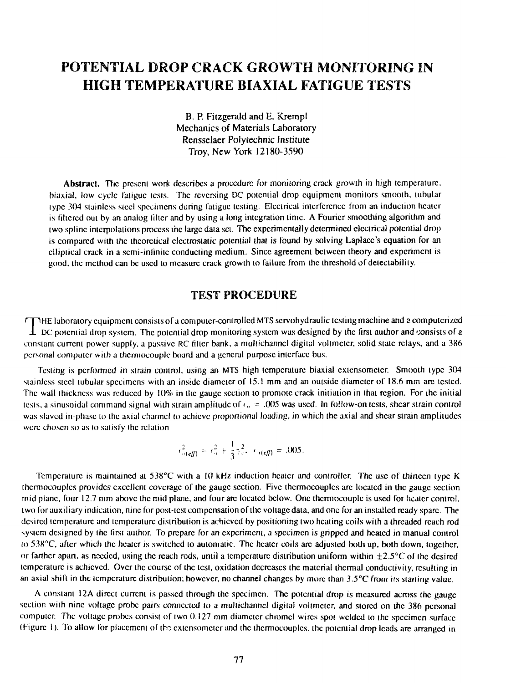# POTENTIAL DROP CRACK GROWTH MONITORING IN HIGH TEMPERATURE BIAXIAL FATIGUE TESTS

B. P. Fitzgerald and E. Krempl Mechanics of Materials Laboratory Rensselaer Polytechnic Institute Troy, New York 12180-3590

Abstract. The present work describes a procedure for monitoring crack growth in high temperature, biaxial, low cycle fatigue icsts. The reversing DC potential drop equipment monitors smooth, tubular lypc 304 stainless steel specimens during fatigue testing. Electrical interference from an induction heater is filtered out by an analog filter and by using a long integration time. A Fourier smoothing algorithm and two spline interpolations process ihc large data set. The experimentally determined electrical potential drop is compared with the theoretical electrostatic potential that is found by solving Laplace's equation for an elliptical crack in a scmi-inlinitc conducting medium. Since agreement between theory and experiment is good, the method can be used to measure crack growth to failure from the threshold of deteclability.

#### TEST PROCEDURE

E laboratory equipment consists of a computer-controlled MTS scrvohydraulic testing machine and a computerized  $\perp$  DC potential drop system. The potential drop monitoring system was designed by the first author and consists of a constant current power supply, a passive RC filter bank, a multichannel digital voltmeter, solid state relays, and a 386 personal computer wiih a thermocouple board and a general purpose interface bus.

Testing is performed in strain control, using an MTS high temperature biaxial extensometcr. Smooth type 304 stainless steel tubular specimens with an inside diameter of 15.1 mm and an outside diameter of 18.6 mm arc tested. The wall thickness was reduced by 10% in the gauge section to promote crack initiation in that region. For ihc initial lesis, a sinusoidal command signal with strain amplitude of *<* " - .005 was used. In foilow-on tes'ts, shear strain control was slaved in-phasc to the axial channel to achieve proportional loading, in which the axial and shear strain amplitudes were chosen so as to satisfy the relation

$$
e_{\alpha\{eff\}}^2 = e_{\alpha}^2 + \frac{1}{3} \gamma_{\alpha}^2, \quad e_{\alpha\{eff\}} = .005.
$$

Temperature is maintained at 538°C with a 10 kHz induction heater and controller. The use of thirteen type K thermocouples provides excellent coverage of the gauge section. Five thermocouples arc located in the gauge section mid plane, four 12.7 mm above the mid plane, and four arc located below. One thermocouple is used for heater control, iwo for auxiliary indication, nine for post-test compensation of the voltage data, and one for an installed ready spare. The desired temperature and temperature distribution is achieved by positioning two heating coils with a threaded reach rod system designed by the first author. To prepare for an experiment, a specimen is gripped and heated in manual control to 538°C, after which the heater is switched to automatic. The heater coils arc adjusted both up, both down, together, or farther apart, as needed, using the reach rods, until a temperature distribution uniform within  $\pm 2.5^{\circ}$ C of the desired temperature is achieved. Over the course of the test, oxidation decreases the material thermal conductivity, resulting in an axial shift in the temperature distribution; however, no channel changes by more than  $3.5^{\circ}$ C from its starting value.

A constant 12A direct current is passed through the specimen. The potential drop is measured across the gauge section with nine voltage probe pairs connected to a multichannel digital voltmeter, and stored on the 386 personal computer. The voltage probes consist of two 0.127 mm diameter chromel wires spot welded lo the specimen surface (Figure I). To allow for placement of the cxtcnsomctcr and the thermocouples, the potential drop leads arc arranged in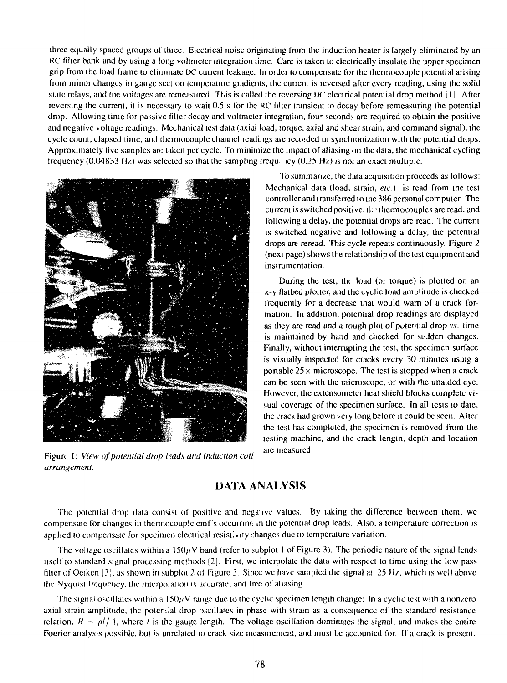three equally spaced groups of three. Electrical noise originating from the induction heater is largely eliminated by an RC filter bank and by using a long voltmeter integration time. Care is taken to electrically insulate the upper specimen grip from the load frame to eliminate DC current leakage. In order to compensate for the thermocouple potential arising from minor changes in gauge section temperature gradients, lhc current is reversed after every reading, using the solid state relays, and the voltages arc rcmcasurcd. This is called the reversing DC electrical potential drop method 11 ]. After reversing Ihe current, it is necessary to wait 0.5 s for the RC filler transient to decay before remcasuring the potential drop. Allowing time for passive filter decay and voltmeter integration, fou<sup>r</sup> seconds arc required to obtain the positive and negative voltage readings. Mechanical test data (axial load, torque, axial and shear strain, and command signal), the cycle count, elapsed time, and thermocouple channel readings are recorded in synchronization with the potential drops. Approximately five samples arc taken per cycle. To minimize the impact of aliasing on the data, the mechanical cycling frequency (0.04833 Hz) was selected so that the sampling frequandler icy (0.25 Hz) is not an exact multiple.



Figure 1: *View of potential drop leads and induction coil arrangement.*

To summarize, the data acquisition proceeds as follows: Mechanical data (load, strain, *etc.)* is read from the test controller and transferred to the 386 personal computer. The current is switched positive, il; • thermocouples arc read, and following a delay, the potential drops are read. The current is switched negative and following a delay, the potential drops are reread. This cycle repeats continuously. Figure 2 (next page) shows the relationship of the test equipment and instrumentation.

During the test, the load (or torque) is plotted on an x-y flatbed plotter, and the cyclic load amplitude is checked frequently for a decrease that would warn of a crack formation. In addition, potential drop readings arc displayed as they arc read and a rough plot of potential drop *vs.* time is maintained by hand and checked for suJdcn changes. Finally, without interrupting the test, the specimen surface is visually inspected for cracks every 30 minutes using a portable  $25 \times$  microscope. The test is stopped when a crack can be seen with the microscope, or with 'he unaided eye. However, the extensometer heat shield blocks complete visual coverage of the specimen surface. In all tests to date, Ihc crack had grown very long before it could be seen. After the test has completed, the specimen is removed from the testing machine, and the crack length, depth and location arc measured.

## DATA ANALYSIS

The potential drop dala consist of positive and nega'ivc values. By taking the difference between them, we compensate for changes in thermocouple cmf 's occurring in the potential drop leads. Also, a temperature correction is applied to compensate for specimen electrical resistivity changes due to temperature variation.

The voltage oscillates within a 150 $\mu$ V band (refer to subplot 1 of Figure 3). The periodic nature of the signal lends itself to standard signal processing methods |2|. First, we interpolate the dala with respect to time using the lew pass filter of Octken  $\{3\}$ , as shown in subplot 2 of Figure 3. Since we have sampled the signal at .25 Hz, which is well above the Nyquist frequency, the interpolation is accurate, and free of aliasing.

The signal oscillates within a 150 $\mu$ V range due to the cyclic specimen length change: In a cyclic test with a nonzero axial strain amplitude, the potential drop oscillates in phase with strain as a consequence of the standard resistance relation,  $R = \rho l/A$ , where *l* is the gauge length. The voltage oscillation dominates the signal, and makes the entire Fourier analysis possible, but is unrelated to crack size measurement, and musl be accounted for. If a crack is present,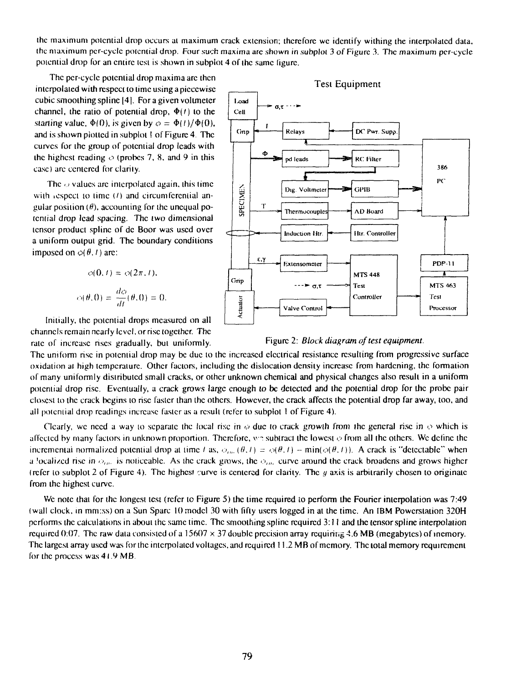(he maximum potential drop occurs at maximum crack extension; therefore we identify withing the interpolated data, the maximum pcr-cyclc potential drop. Four such maxima are shown in subplot 3 of Figure 3. The maximum per-cyele potential drop for an entire test is shown in subplot 4 of the same (igurc.

The per-cyclc potential drop maxima arc then interpolated with respect to time using a picccwisc cubic smoothing spline |4|. For a given voltmeter channel, the ratio of potential drop,  $\Phi(t)$  to the starting value,  $\Phi(0)$ , is given by  $\phi = \Phi(1)/\Phi(0)$ . and is shown plotted in subplot ! of Figure 4. The curves for the group of potential drop leads with the highest reading  $\phi$  (probes 7, 8, and 9 in this case) arc centered for clarily.

The  $\phi$  values are interpolated again, this time with respect to time  $(1)$  and circumferential angular position  $(\theta)$ , accounting for the unequal potcniial drop lead spacing. The two dimensional tensor product spline of dc Boor was used over a uniform output grid. The boundary conditions imposed on  $\phi(\theta, t)$  are:

$$
\phi(0, t) = \phi(2\pi, t),
$$

$$
\phi(\theta, 0) = \frac{d\phi}{dt}(\theta, 0) = 0.
$$

Initially, the potential drops measured on all channels remain nearly level, or rise together. The



#### rale of increase rises gradually, but uniformly. Figure 2: *Block diagram of test equipment.*

The uniform rise in poicniial drop may be due to the increased electrical resistance resulting from progressive surface oxidation ai high temperature. Other factors, including the dislocation density increase from hardening, the formation of many uniformly distributed small cracks, or other unknown chemical and physical changes also result in a uniform potential drop rise. Eventually, a crack grows large enough to be delected and ihc potential drop for the probe pair closest to the crack begins to rise faster than the others. However, the crack affects the potential drop far away, loo, and all potential drop readings increase faster as a result (refer to subplot 1 of Figure 4).

Clearly, we need a way to separate the local rise in  $\phi$  due to crack growth from the general rise in  $\phi$  which is affected by many factors in unknown proportion. Therefore, v~ subtract the lowest *o* from all ihc others. We define the incremental normalized potential drop at time *l* as,  $\phi_{\mu\nu}(\theta, l) = \phi(\theta, l) - \min(\phi(\theta, l))$ . A crack is "detectable" when a localized rise in  $\phi_{\mu\nu}$  is noticeable. As the crack grows, the  $\phi_{\mu\nu}$  curve around the crack broadens and grows higher (refer lo subplol 2 of Figure 4). The highest curve is centered for clarity. The *y* axis is arbitrarily chosen to originate from ihc highest curve.

We note that for the longest test (refer to Figure 5) the time required to perform the Fourier interpolation was 7:49 (wall clock, in mm:ss) on a Sun Sparc 10 model 30 with fifty users logged in ai the time. An IBM Powcrslaiior. 32OH performs the calculations in about the same time. The smoothing spline required 3:11 and the tensor spline interpolation required 0:07. The raw data consisted of a 15607  $\times$  37 double precision array requiring 4.6 MB (megabytes) of memory. The largest array used was for the interpolated voltages, and required 11.2 MB of memory. The total memory requirement for the process was 41.9 MB.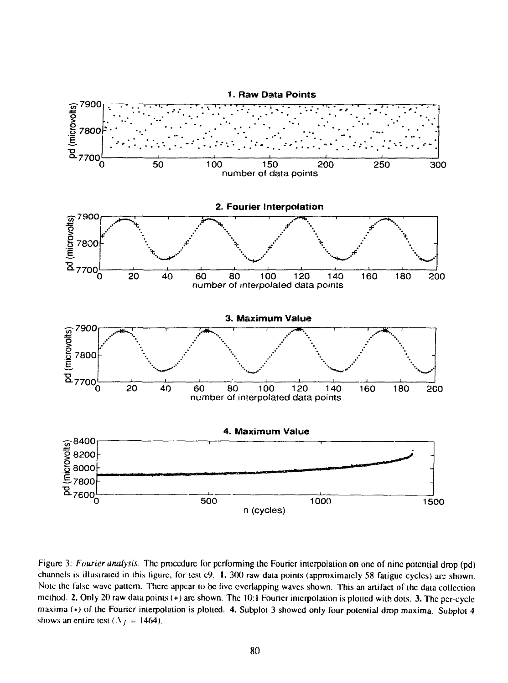

Figure 3: *Fourier analysis.* The procedure for performing the Fourier interpolation on one of nine potential drop (pd) channels is illustrated in this figure, for lest c9. 1. 300 raw data points (approximately 58 fatigue cycles) arc shown. Note the false wave pattern. There appear to be five everlapping waves shown. This an artifact of the data collection method. 2. Only 20 raw data points (+) are shown. The 10:1 Fourier interpolation is plotted with dots. 3. The per-cycle maxima (\*) of the Fourier interpolation is plotted. 4. Subplot 3 showed only four potential drop maxima. Subplot 4 shows an entire test ( $\mathcal{N}_1 = 1464$ ).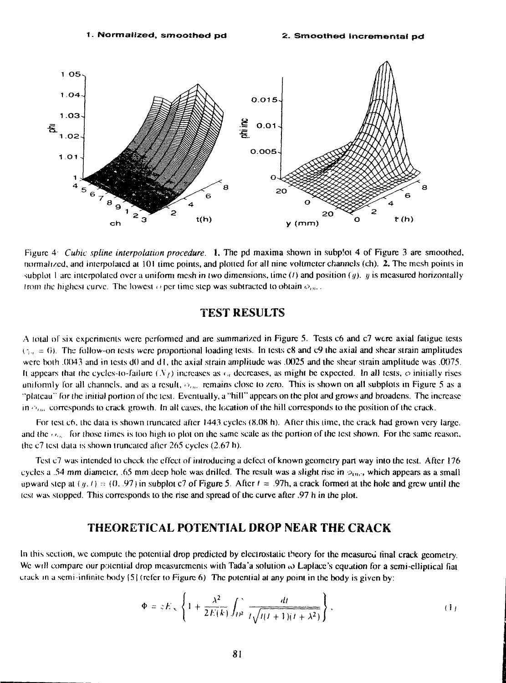

Figure 4 *Cubic spline interpolation procedure.* 1. The pd maxima shown in subp'ot 4 of Figure 3 are smoothed, normalized, and interpolated at 101 time points, and plotted for all nine voltmeter channels (ch). 2. The mesh points in subplot 1 arc interpolated over a uniform mesh in two dimensions, time (*t*) and position (*y*). *y* is measured horizontally from the highest curve. The lowest  $\phi$  per time step was subtracted to obtain  $\phi_{inc}$ .

#### TEST RESULTS

A iota) of six experiments were performed and arc summarized in Figure 5. Tests c6 and c7 were axial fatigue tests  $(z_{ij} = 6)$ . The follow-on tests were proportional loading tests. In tests c8 and c9 the axial and shear strain amplitudes were both .0043 and in tests dO and dl, the axial strain amplitude was .0025 and the shear strain amplitude was .0075. It appears that the cycles-to-failure  $(N_f)$  increases as  $\epsilon_n$  decreases, as might be expected. In all tests,  $\phi$  initially rises uniformly for all channels, and as a result,  $\phi_{\mu\nu}$  remains close to zero. This is shown on all subplots in Figure 5 as a "plateau" for the initial portion of the lest. Eventually, a "hill" appears on the plot and grows and broadens. The increase  $\mathbf{i} \mathbf{n} \phi_{lm}$  corresponds to crack growth. In all cases, the location of the hill corresponds to the position of the crack.

For test c6, the data is shown truncated after 1443 cycles (8.08 h). After this time, the crack had grown very large, and the  $\phi_{\text{av}}$  for those times is too high to plot on the same scale as the portion of the test shown. For the same reason, the c7 test data is shown truncated after 265 cycles (2.67 h).

Test c7 was intended to check the effect of introducing a defect of known geometry part way into the test. After 176 cycles a .54 mm diameter, .65 mm deep hole was drilled. The result was a slight rise in  $\phi_{inc}$ , which appears as a small upward step at  $(y, t) = (0, 0.97)$  in subplot c7 of Figure 5. After  $t = 0.97$ h, a crack formed at the hole and grew until the icsi was stopped. This corresponds to the rise and spread of the curve after .97 h in the ploi.

#### THEORETICAL POTENTIAL DROP NEAR THE CRACK

In this section, we compute the potential drop predicted by electrostatic theory for the measured final crack geometry. We will compare our potential drop measurements with Tada'a solution  $\omega$  Laplace's equation for a semi-clliptical fiat crack in a semi-infinite body  $\{5\}$  (refer to Figure 6) The potential at any point in the body is given by:

$$
\Phi = zE_{\infty} \left\{ 1 + \frac{\lambda^2}{2E(k)} \int_{D^2} \frac{dt}{t\sqrt{t(t+1)(t+\lambda^2)}} \right\},
$$
 (1)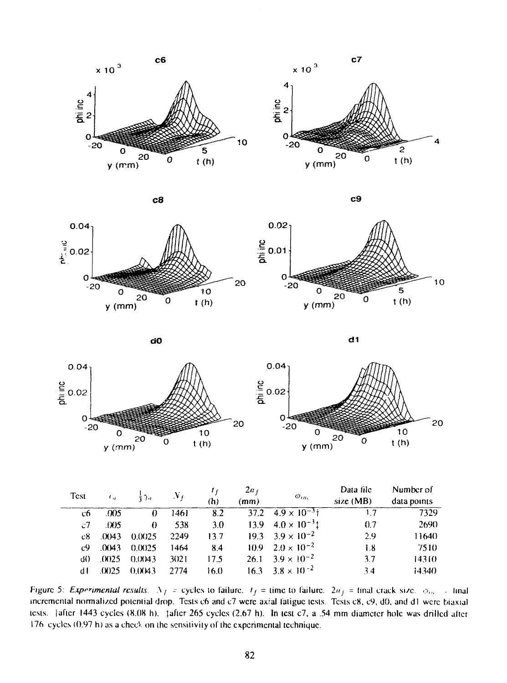



$$
c8 \hspace{2.5cm} c8
$$

0.04^

O

-20

Ō

 $20$ 

 $\frac{9}{2}$  0.02









20

 $10$ 

| Test           | $\epsilon_{\rm n}$ | きつっ      | $N_{\ell}$ | (h)  | $2a_f$<br>(mm) | $\omega_{in}$                   | Data file<br>size(MB) | Number of<br>data points |
|----------------|--------------------|----------|------------|------|----------------|---------------------------------|-----------------------|--------------------------|
| cб             | .005               | $\Omega$ | 1461       | 8.2  |                | $37.2$ $4.9 \times 10^{-3}$ i   | 17                    | 7329                     |
| $\mathcal{C}7$ | .005               | $\theta$ | 538        | 3.0  |                | $13.9 \quad 4.0 \times 10^{-3}$ | 0.7                   | 2690                     |
| c8.            | (0.043)            | 0.0025   | 2249       | 13.7 |                | $19.3 \t3.9 \times 10^{-2}$     | 2.9                   | 11640                    |
| c9.            | .0043              | 0.0025   | 1464       | 8.4  |                | $10.9$ $2.0 \times 10^{-2}$     | 1.8                   | 7510                     |
| d0             | (0.025)            | 0.0043   | 3021       | 17.5 | 26.1           | $3.9 \times 10^{-2}$            | 3.7                   | 14310                    |
| d I            | (1025)             | 0.0043   | 2774       | 16.0 |                | $16.3 \t3.8 \times 10^{-2}$     | 3.4                   | 14340                    |

Figure 5: *Experimental results*.  $\Delta f =$  cycles to failure,  $t_f =$  time to failure.  $2a_f =$  final crack size.  $\phi_{in} =$  final incremental normalized poicniial drop. Tests c6 and c7 were axial laliguc tests. Tcsis c8, c9, dO. and dl were biaxial icsis. [after 1443 cycles (8.08 h). {after 265 cycles (2.67 h). In lest c7, a .54 mm diameter hole was drilled aficr 176 cycles  $(0.97 \text{ h})$  as a check on the sensitivity of the experimental technique.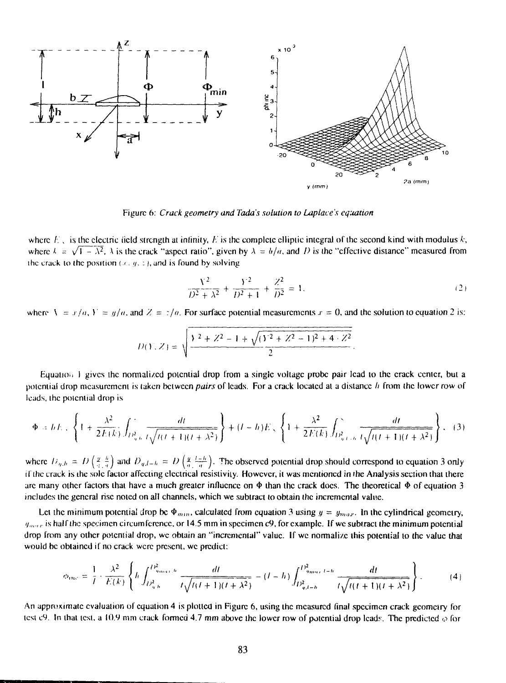

Figure 6: *Crack geometry and Tada's solution to Laplace's equation*

where  $E_i$ , is the electric field strength at infinity, E is the complete elliptic integral of the second kind with modulus k, where  $\lambda = \sqrt{1 - \lambda^2}$ ,  $\lambda$  is the crack "aspect ratio", given by  $\lambda = b/a$ , and *D* is the "effective distance" measured from the crack to the position  $(x, y, z)$ , and is found by solving

$$
\frac{Y^2}{D^2 + \lambda^2} + \frac{Y^2}{D^2 + 1} + \frac{Z^2}{D^2} = 1.
$$
 (2)

where  $\lambda = x/a$ ,  $Y = y/a$ , and  $Z = z/a$ . For surface potential measurements  $x = 0$ , and the solution to equation 2 is:

$$
D(Y, Z) = \sqrt{\frac{Y^2 + Z^2 - 1 + \sqrt{(Y^2 + Z^2 - 1)^2 + 4 \cdot Z^2}}{2}}.
$$

Equation 1 gives the normalized potential drop from a single voltage probe pair lead to the crack center, but a potential drop measurement is taken between *pairs* of leads. For a crack located at a distance // from (he lower row of leads, the potential drop is

$$
\Phi = hE_{\infty} \left\{ 1 + \frac{\lambda^2}{2E(k)} \int_{D_{n,b}^2} \frac{dt}{t \sqrt{t(t+1)(t+\lambda^2)}} \right\} + (t-h)E_{\infty} \left\{ 1 + \frac{\lambda^2}{2E(k)} \int_{D_{n,b}^2} \frac{dt}{t \sqrt{t(t+1)(t+\lambda^2)}} \right\},
$$
(3)

where  $U_{n,h} = D\left(\frac{y}{a},\frac{h}{a}\right)$  and  $D_{n,l-h} = D\left(\frac{y}{a},\frac{l+h}{a}\right)$ . The observed potential drop should correspond to equation 3 only if the crack is the sole factor affecting electrical resistivity. However, it was mentioned in the Analysis section that there arc many other factors that have a much greater influence on  $\Phi$  than the crack does. The theoretical  $\Phi$  of equation 3 includes the general rise noted on all channels, which we subtract to obtain the incremental value.

Let the minimum potential drop be  $\Phi_{min}$ , calculated from equation 3 using  $y = y_{max}$ . In the cylindrical geometry,  $y_{max}$  is half the specimen circumference, or 14.5 mm in specimen c9, for example. If we subtract the minimum potential drop from any other potential drop, we obtain an "incremental" value. If we normalize this potential to the value that would be obtained if no crack were present, we predict:

$$
\phi_{inc} = \frac{1}{l} \cdot \frac{\lambda^2}{E(k)} \left\{ h \int_{D_{q,b}^2}^{D_{q_{max},b}^2} \frac{dt}{t \sqrt{t(t+1)(t+\lambda^2)}} - (l-h) \int_{D_{q,l+b}^2}^{D_{q_{max},l+h}^2} \frac{dt}{t \sqrt{t(t+1)(t+\lambda^2)}} \right\}.
$$
 (4)

An approximate evaluation of equation 4 is plotted in Figure 6, using the measured final specimen crack geometry for test c9. In that test, a 10.9 mm crack formed 4.7 mm above the lower row of potential drop leads. The predicted  $\varphi$  for